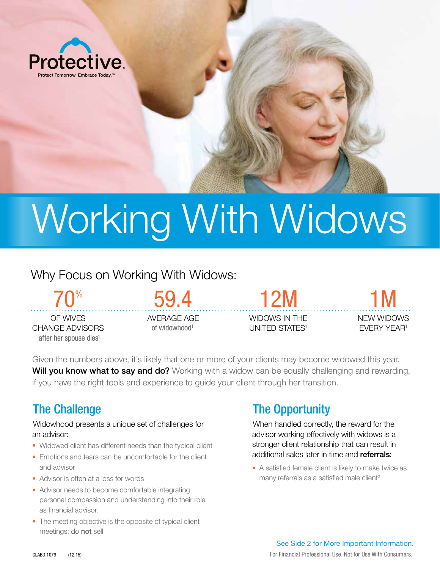

# Working With Widows

# Why Focus on Working With Widows:

OF WIVES CHANGE ADVISORS 70% after her spouse dies<sup>1</sup>

AVERAGE AGE of widowhood<sup>1</sup>

59.4

WIDOWS IN THE UNITED STATES<sup>1</sup>

12M

NEW WIDOWS EVERY YEAR<sup>1</sup> 1M

Given the numbers above, it's likely that one or more of your clients may become widowed this year. Will you know what to say and do? Working with a widow can be equally challenging and rewarding, if you have the right tools and experience to guide your client through her transition.

# The Challenge

Widowhood presents a unique set of challenges for an advisor:

- Widowed client has different needs than the typical client
- Emotions and tears can be uncomfortable for the client and advisor
- Advisor is often at a loss for words
- Advisor needs to become comfortable integrating personal compassion and understanding into their role as financial advisor.
- The meeting objective is the opposite of typical client meetings: do not sell

# The Opportunity

When handled correctly, the reward for the advisor working effectively with widows is a stronger client relationship that can result in additional sales later in time and **referrals**:

• A satisfied female client is likely to make twice as many referrals as a satisfied male client<sup>2</sup>